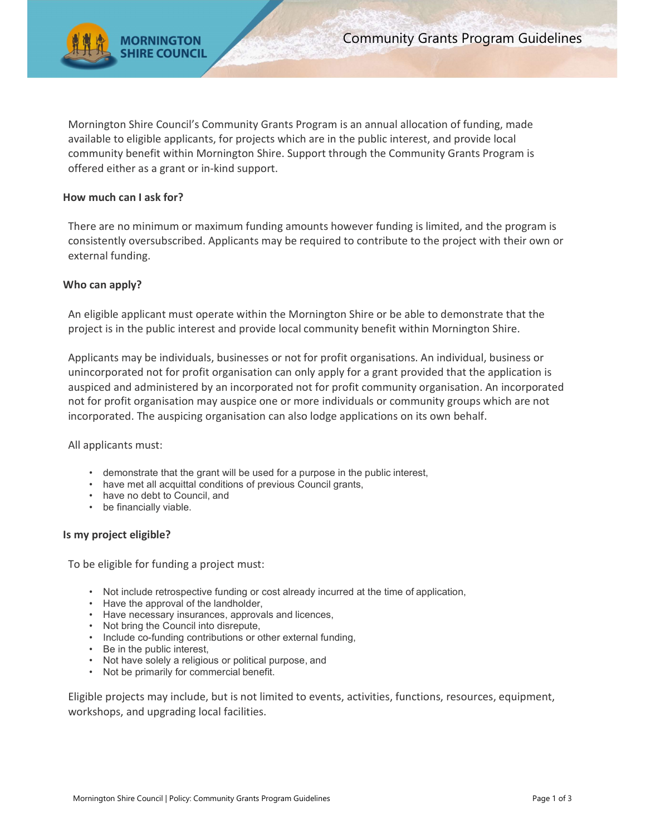

Mornington Shire Council's Community Grants Program is an annual allocation of funding, made available to eligible applicants, for projects which are in the public interest, and provide local community benefit within Mornington Shire. Support through the Community Grants Program is offered either as a grant or in-kind support.

# How much can I ask for?

There are no minimum or maximum funding amounts however funding is limited, and the program is consistently oversubscribed. Applicants may be required to contribute to the project with their own or external funding.

## Who can apply?

An eligible applicant must operate within the Mornington Shire or be able to demonstrate that the project is in the public interest and provide local community benefit within Mornington Shire.

Applicants may be individuals, businesses or not for profit organisations. An individual, business or unincorporated not for profit organisation can only apply for a grant provided that the application is auspiced and administered by an incorporated not for profit community organisation. An incorporated not for profit organisation may auspice one or more individuals or community groups which are not incorporated. The auspicing organisation can also lodge applications on its own behalf.

### All applicants must:

- demonstrate that the grant will be used for a purpose in the public interest,
- have met all acquittal conditions of previous Council grants,
- have no debt to Council, and
- be financially viable.

### Is my project eligible?

To be eligible for funding a project must:

- Not include retrospective funding or cost already incurred at the time of application,
- Have the approval of the landholder,
- Have necessary insurances, approvals and licences,
- Not bring the Council into disrepute,
- Include co-funding contributions or other external funding,
- Be in the public interest,
- Not have solely a religious or political purpose, and
- Not be primarily for commercial benefit.

Eligible projects may include, but is not limited to events, activities, functions, resources, equipment, workshops, and upgrading local facilities.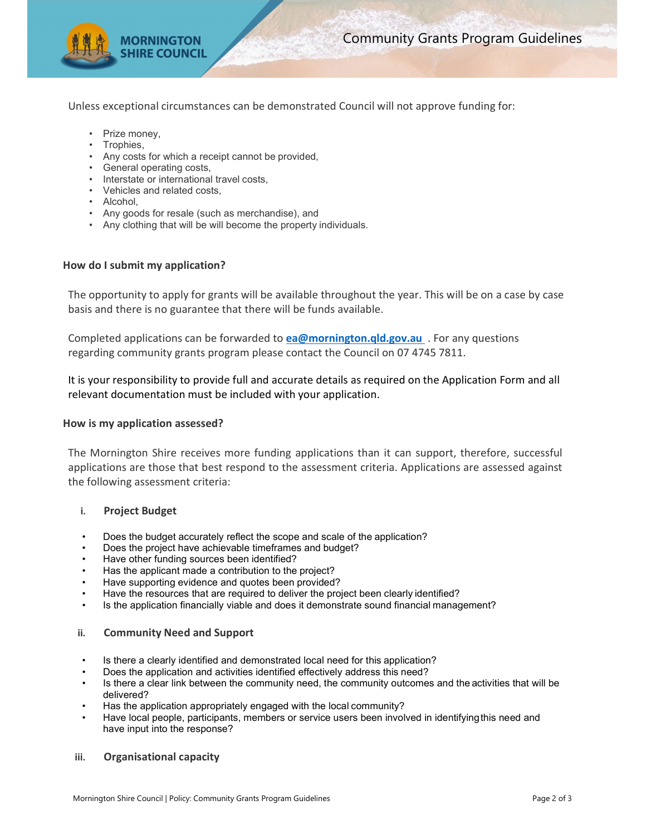

Unless exceptional circumstances can be demonstrated Council will not approve funding for:

- Prize money,
- Trophies,
- Any costs for which a receipt cannot be provided,
- General operating costs,
- Interstate or international travel costs,
- Vehicles and related costs,
- Alcohol,
- Any goods for resale (such as merchandise), and
- Any clothing that will be will become the property individuals.

## How do I submit my application?

The opportunity to apply for grants will be available throughout the year. This will be on a case by case basis and there is no guarantee that there will be funds available.

Completed applications can be forwarded to ea@mornington.gld.gov.au . For any questions regarding community grants program please contact the Council on 07 4745 7811.

It is your responsibility to provide full and accurate details as required on the Application Form and all relevant documentation must be included with your application.

### How is my application assessed?

The Mornington Shire receives more funding applications than it can support, therefore, successful applications are those that best respond to the assessment criteria. Applications are assessed against the following assessment criteria:

### i. Project Budget

- Does the budget accurately reflect the scope and scale of the application?
- Does the project have achievable timeframes and budget?
- Have other funding sources been identified?
- Has the applicant made a contribution to the project?
- Have supporting evidence and quotes been provided?
- Have the resources that are required to deliver the project been clearly identified?
- Is the application financially viable and does it demonstrate sound financial management?

### ii. Community Need and Support

- Is there a clearly identified and demonstrated local need for this application?
- Does the application and activities identified effectively address this need?
- Is there a clear link between the community need, the community outcomes and the activities that will be delivered?
- Has the application appropriately engaged with the local community?
- Have local people, participants, members or service users been involved in identifying this need and have input into the response?

### iii. Organisational capacity